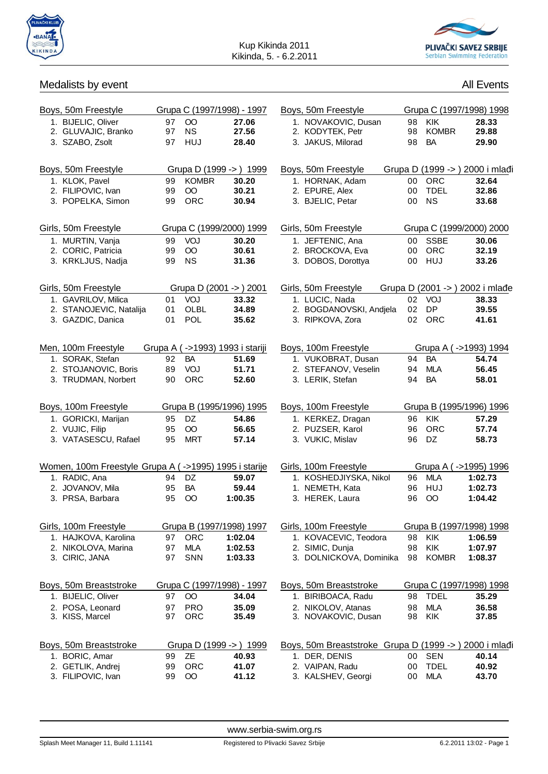



## Medalists by event

| <b>All Events</b> |
|-------------------|
|                   |

| Boys, 50m Freestyle                                   |    |                 | Grupa C (1997/1998) - 1997       | Boys, 50m Freestyle                                 |    |                 | Grupa C (1997/1998) 1998        |
|-------------------------------------------------------|----|-----------------|----------------------------------|-----------------------------------------------------|----|-----------------|---------------------------------|
| 1. BIJELIC, Oliver                                    | 97 | $\overline{O}O$ | 27.06                            | 1. NOVAKOVIC, Dusan                                 | 98 | KIK             | 28.33                           |
| 2. GLUVAJIC, Branko                                   | 97 | <b>NS</b>       | 27.56                            | 2. KODYTEK, Petr                                    | 98 | <b>KOMBR</b>    | 29.88                           |
| 3. SZABO, Zsolt                                       | 97 | <b>HUJ</b>      | 28.40                            | 3. JAKUS, Milorad                                   | 98 | <b>BA</b>       | 29.90                           |
| Boys, 50m Freestyle                                   |    |                 | Grupa D (1999 -> ) 1999          | Boys, 50m Freestyle                                 |    |                 | Grupa D (1999 -> ) 2000 i mla   |
| 1. KLOK, Pavel                                        | 99 | <b>KOMBR</b>    | 30.20                            | 1. HORNAK, Adam                                     | 00 | <b>ORC</b>      | 32.64                           |
| 2. FILIPOVIC, Ivan                                    | 99 | $\rm{OO}$       | 30.21                            | 2. EPURE, Alex                                      | 00 | <b>TDEL</b>     | 32.86                           |
| 3. POPELKA, Simon                                     | 99 | <b>ORC</b>      | 30.94                            | 3. BJELIC, Petar                                    | 00 | <b>NS</b>       | 33.68                           |
| Girls, 50m Freestyle                                  |    |                 | Grupa C (1999/2000) 1999         | Girls, 50m Freestyle                                |    |                 | Grupa C (1999/2000) 2000        |
| 1. MURTIN, Vanja                                      | 99 | VOJ             | 30.20                            | 1. JEFTENIC, Ana                                    |    | 00 SSBE         | 30.06                           |
| 2. CORIC, Patricia                                    | 99 | $_{\rm OO}$     | 30.61                            | 2. BROCKOVA, Eva                                    | 00 | ORC             | 32.19                           |
| 3. KRKLJUS, Nadja                                     | 99 | <b>NS</b>       | 31.36                            | 3. DOBOS, Dorottya                                  |    | 00 HUJ          | 33.26                           |
| Girls, 50m Freestyle                                  |    |                 | Grupa D (2001 -> ) 2001          | Girls, 50m Freestyle                                |    |                 | Grupa D (2001 -> ) 2002 i mla e |
| 1. GAVRILOV, Milica                                   | 01 | VOJ             | 33.32                            | 1. LUCIC, Nada                                      | 02 | VOJ             | 38.33                           |
| 2. STANOJEVIC, Natalija                               | 01 | <b>OLBL</b>     | 34.89                            | 2. BOGDANOVSKI, Andjela                             | 02 | DP              | 39.55                           |
| 3. GAZDIC, Danica                                     | 01 | POL             | 35.62                            | 3. RIPKOVA, Zora                                    | 02 | <b>ORC</b>      | 41.61                           |
| Men, 100m Freestyle                                   |    |                 | Grupa A ( ->1993) 1993 i stariji | Boys, 100m Freestyle                                |    |                 | Grupa A (->1993) 1994           |
| 1. SORAK, Stefan                                      | 92 | <b>BA</b>       | 51.69                            | 1. VUKOBRAT, Dusan                                  | 94 | BA              | 54.74                           |
| 2. STOJANOVIC, Boris                                  | 89 | VOJ             | 51.71                            | 2. STEFANOV, Veselin                                | 94 | <b>MLA</b>      | 56.45                           |
| 3. TRUDMAN, Norbert                                   | 90 | <b>ORC</b>      | 52.60                            | 3. LERIK, Stefan                                    | 94 | <b>BA</b>       | 58.01                           |
| Boys, 100m Freestyle                                  |    |                 | Grupa B (1995/1996) 1995         | Boys, 100m Freestyle                                |    |                 | Grupa B (1995/1996) 1996        |
| 1. GORICKI, Marijan                                   | 95 | DZ.             | 54.86                            | 1. KERKEZ, Dragan                                   | 96 | <b>KIK</b>      | 57.29                           |
| 2. VUJIC, Filip                                       | 95 | $\overline{O}O$ | 56.65                            | 2. PUZSER, Karol                                    | 96 | <b>ORC</b>      | 57.74                           |
| 3. VATASESCU, Rafael                                  | 95 | <b>MRT</b>      | 57.14                            | 3. VUKIC, Mislav                                    | 96 | DZ              | 58.73                           |
| Women, 100m Freestyle Grupa A (->1995) 1995 i starije |    |                 |                                  | Girls, 100m Freestyle                               |    |                 | Grupa A (->1995) 1996           |
| 1. RADIC, Ana                                         | 94 | DZ              | 59.07                            | 1. KOSHEDJIYSKA, Nikol                              |    | 96 MLA          | 1:02.73                         |
| 2. JOVANOV, Mila                                      | 95 | BA              | 59.44                            | 1. NEMETH, Kata                                     | 96 | <b>HUJ</b>      | 1:02.73                         |
| 3. PRSA, Barbara                                      | 95 | $\overline{O}$  | 1:00.35                          | 3. HEREK, Laura                                     | 96 | $\overline{O}O$ | 1:04.42                         |
| Girls, 100m Freestyle                                 |    |                 | Grupa B (1997/1998) 1997         | Girls, 100m Freestyle                               |    |                 | Grupa B (1997/1998) 1998        |
| 1. HAJKOVA, Karolina                                  | 97 | <b>ORC</b>      | 1:02.04                          | 1. KOVACEVIC, Teodora                               | 98 | <b>KIK</b>      | 1:06.59                         |
| 2. NIKOLOVA, Marina                                   | 97 | <b>MLA</b>      | 1:02.53                          | 2. SIMIC, Dunja                                     | 98 | KIK             | 1:07.97                         |
| 3. CIRIC, JANA                                        | 97 | SNN             | 1:03.33                          | 3. DOLNICKOVA, Dominika                             | 98 | <b>KOMBR</b>    | 1:08.37                         |
| Boys, 50m Breaststroke                                |    |                 | Grupa C (1997/1998) - 1997       | Boys, 50m Breaststroke                              |    |                 | Grupa C (1997/1998) 1998        |
| 1. BIJELIC, Oliver                                    | 97 | $\overline{O}O$ | 34.04                            | 1. BIRIBOACA, Radu                                  | 98 | <b>TDEL</b>     | 35.29                           |
| 2. POSA, Leonard                                      | 97 | <b>PRO</b>      | 35.09                            | 2. NIKOLOV, Atanas                                  | 98 | <b>MLA</b>      | 36.58                           |
| 3. KISS, Marcel                                       | 97 | ORC             | 35.49                            | 3. NOVAKOVIC, Dusan                                 | 98 | KIK             | 37.85                           |
| Boys, 50m Breaststroke                                |    |                 | Grupa D (1999 -> ) 1999          | Boys, 50m Breaststroke Grupa D (1999 ->) 2000 i mla |    |                 |                                 |
| 1. BORIC, Amar                                        | 99 | <b>ZE</b>       | 40.93                            | 1. DER, DENIS                                       | 00 | <b>SEN</b>      | 40.14                           |
| 2. GETLIK, Andrej                                     | 99 | <b>ORC</b>      | 41.07                            | 2. VAIPAN, Radu                                     | 00 | <b>TDEL</b>     | 40.92                           |
| 3. FILIPOVIC, Ivan                                    | 99 | $\overline{O}O$ | 41.12                            | 3. KALSHEV, Georgi                                  | 00 | <b>MLA</b>      | 43.70                           |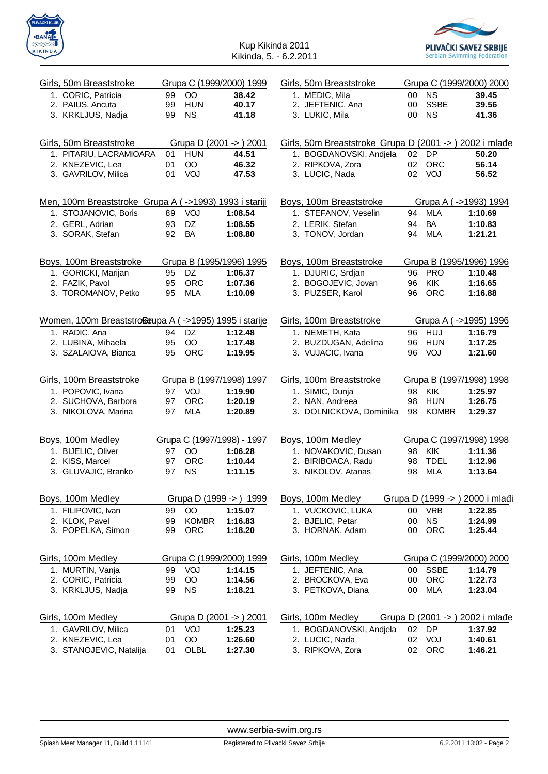



| Girls, 50m Breaststroke                                |                       | Grupa C (1999/2000) 1999            | Girls, 50m Breaststroke                                 |    |              | Grupa C (1999/2000) 2000            |
|--------------------------------------------------------|-----------------------|-------------------------------------|---------------------------------------------------------|----|--------------|-------------------------------------|
| 1. CORIC, Patricia                                     | $\overline{O}O$<br>99 | 38.42                               | 1. MEDIC, Mila                                          | 00 | <b>NS</b>    | 39.45                               |
| 2. PAIUS, Ancuta                                       | <b>HUN</b><br>99      | 40.17                               | 2. JEFTENIC, Ana                                        | 00 | <b>SSBE</b>  | 39.56                               |
| 3. KRKLJUS, Nadja                                      | <b>NS</b><br>99       | 41.18                               | 3. LUKIC, Mila                                          | 00 | <b>NS</b>    | 41.36                               |
|                                                        |                       |                                     |                                                         |    |              |                                     |
| Girls, 50m Breaststroke                                |                       | Grupa D (2001 -> ) 2001             | Girls, 50m Breaststroke Grupa D (2001 -> ) 2002 i mla e |    |              |                                     |
| 1. PITARIU, LACRAMIOARA                                | <b>HUN</b><br>01      | 44.51                               | 1. BOGDANOVSKI, Andjela                                 | 02 | <b>DP</b>    | 50.20                               |
| 2. KNEZEVIC, Lea                                       | $\overline{O}O$<br>01 | 46.32                               | 2. RIPKOVA, Zora                                        | 02 | <b>ORC</b>   | 56.14                               |
| 3. GAVRILOV, Milica                                    | VOJ<br>01             | 47.53                               | 3. LUCIC, Nada                                          |    | 02 VOJ       | 56.52                               |
|                                                        |                       |                                     |                                                         |    |              |                                     |
| Men, 100m Breaststroke Grupa A (->1993) 1993 i stariji |                       |                                     | Boys, 100m Breaststroke                                 |    |              | Grupa A (->1993) 1994               |
| 1. STOJANOVIC, Boris                                   | VOJ<br>89             | 1:08.54                             | 1. STEFANOV, Veselin                                    | 94 | <b>MLA</b>   | 1:10.69                             |
| 2. GERL, Adrian                                        | DZ<br>93              | 1:08.55                             | 2. LERIK, Stefan                                        | 94 | <b>BA</b>    | 1:10.83                             |
| 3. SORAK, Stefan                                       | 92<br><b>BA</b>       | 1:08.80                             | 3. TONOV, Jordan                                        | 94 | <b>MLA</b>   | 1:21.21                             |
|                                                        |                       |                                     |                                                         |    |              |                                     |
| Boys, 100m Breaststroke                                |                       | Grupa B (1995/1996) 1995            | Boys, 100m Breaststroke                                 |    |              | Grupa B (1995/1996) 1996            |
| 1. GORICKI, Marijan                                    | DZ<br>95              | 1:06.37                             | 1. DJURIC, Srdjan                                       | 96 | PRO          | 1:10.48                             |
| 2. FAZIK, Pavol                                        | <b>ORC</b><br>95      | 1:07.36                             | 2. BOGOJEVIC, Jovan                                     | 96 | KIK          | 1:16.65                             |
| 3. TOROMANOV, Petko                                    | MLA<br>95             | 1:10.09                             | 3. PUZSER, Karol                                        | 96 | <b>ORC</b>   | 1:16.88                             |
|                                                        |                       |                                     |                                                         |    |              |                                     |
| Women, 100m Breaststroßeupa A (->1995) 1995 i starije  |                       |                                     | Girls, 100m Breaststroke                                |    |              | Grupa A (->1995) 1996               |
| 1. RADIC, Ana                                          | DZ<br>94              | 1:12.48                             | 1. NEMETH, Kata                                         |    | 96 HUJ       | 1:16.79                             |
| 2. LUBINA, Mihaela                                     | $\overline{O}O$<br>95 | 1:17.48                             | 2. BUZDUGAN, Adelina                                    | 96 | <b>HUN</b>   | 1:17.25                             |
| 3. SZALAIOVA, Bianca                                   | 95<br><b>ORC</b>      | 1:19.95                             | 3. VUJACIC, Ivana                                       | 96 | VOJ          | 1:21.60                             |
|                                                        |                       |                                     |                                                         |    |              |                                     |
| Girls, 100m Breaststroke<br>1. POPOVIC, Ivana          | VOJ<br>97             | Grupa B (1997/1998) 1997<br>1:19.90 | Girls, 100m Breaststroke<br>1. SIMIC, Dunja             | 98 | <b>KIK</b>   | Grupa B (1997/1998) 1998<br>1:25.97 |
| 2. SUCHOVA, Barbora                                    | <b>ORC</b><br>97      | 1:20.19                             | 2. NAN, Andreea                                         | 98 | <b>HUN</b>   | 1:26.75                             |
| 3. NIKOLOVA, Marina                                    | <b>MLA</b><br>97      | 1:20.89                             | 3. DOLNICKOVA, Dominika                                 | 98 | <b>KOMBR</b> | 1:29.37                             |
|                                                        |                       |                                     |                                                         |    |              |                                     |
| Boys, 100m Medley                                      |                       | Grupa C (1997/1998) - 1997          |                                                         |    |              | Grupa C (1997/1998) 1998            |
| 1. BIJELIC, Oliver                                     | $\overline{O}O$<br>97 | 1:06.28                             | Boys, 100m Medley<br>1. NOVAKOVIC, Dusan                | 98 | KIK          | 1:11.36                             |
| 2. KISS, Marcel                                        | <b>ORC</b><br>97      | 1:10.44                             | 2. BIRIBOACA, Radu                                      | 98 | <b>TDEL</b>  | 1:12.96                             |
| 3. GLUVAJIC, Branko                                    | <b>NS</b><br>97       | 1:11.15                             | 3. NIKOLOV, Atanas                                      | 98 | <b>MLA</b>   | 1:13.64                             |
|                                                        |                       |                                     |                                                         |    |              |                                     |
| Boys, 100m Medley                                      |                       | Grupa D (1999 -> ) 1999             | Boys, 100m Medley                                       |    |              | Grupa D (1999 -> ) 2000 i mla i     |
| 1. FILIPOVIC, Ivan                                     | 99<br>$\overline{O}O$ | 1:15.07                             | 1. VUCKOVIC, LUKA                                       | 00 | <b>VRB</b>   | 1:22.85                             |
| 2. KLOK, Pavel                                         | <b>KOMBR</b><br>99    | 1:16.83                             | 2. BJELIC, Petar                                        | 00 | <b>NS</b>    | 1:24.99                             |
| 3. POPELKA, Simon                                      | <b>ORC</b><br>99      | 1:18.20                             | 3. HORNAK, Adam                                         | 00 | ORC          | 1:25.44                             |
|                                                        |                       |                                     |                                                         |    |              |                                     |
| Girls, 100m Medley                                     |                       | Grupa C (1999/2000) 1999            | Girls, 100m Medley                                      |    |              | Grupa C (1999/2000) 2000            |
| 1. MURTIN, Vanja                                       | VOJ<br>99             | 1:14.15                             | 1. JEFTENIC, Ana                                        | 00 | <b>SSBE</b>  | 1:14.79                             |
| 2. CORIC, Patricia                                     | $\overline{O}O$<br>99 | 1:14.56                             | 2. BROCKOVA, Eva                                        | 00 | ORC          | 1:22.73                             |
| 3. KRKLJUS, Nadja                                      | <b>NS</b><br>99       | 1:18.21                             | 3. PETKOVA, Diana                                       | 00 | <b>MLA</b>   | 1:23.04                             |
|                                                        |                       |                                     |                                                         |    |              |                                     |
| Girls, 100m Medley                                     |                       | Grupa D (2001 -> ) 2001             | Girls, 100m Medley                                      |    |              | Grupa D (2001 -> ) 2002 i mla e     |
| 1. GAVRILOV, Milica                                    | VOJ<br>01             | 1:25.23                             | 1. BOGDANOVSKI, Andjela                                 | 02 | DP           | 1:37.92                             |
| 2. KNEZEVIC, Lea                                       | $\overline{O}O$<br>01 | 1:26.60                             | 2. LUCIC, Nada                                          | 02 | VOJ          | 1:40.61                             |
| 3. STANOJEVIC, Natalija                                | OLBL<br>01            | 1:27.30                             | 3. RIPKOVA, Zora                                        | 02 | ORC          | 1:46.21                             |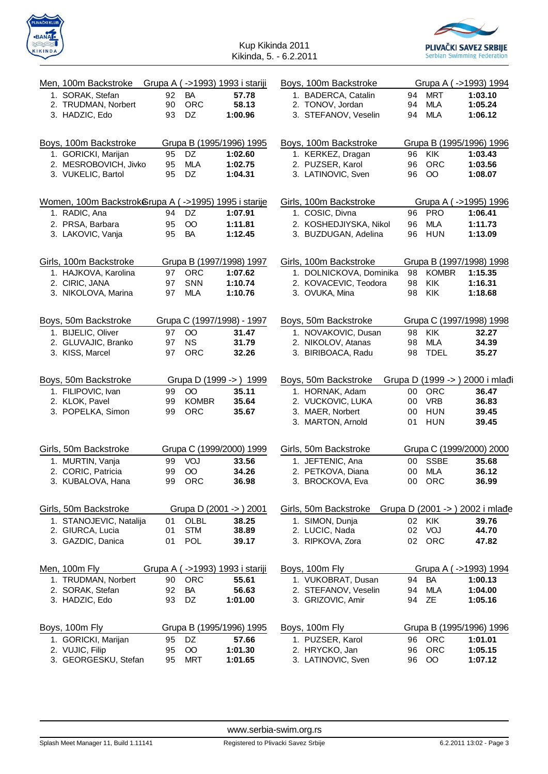



| Men, 100m Backstroke                                 |    |                 | Grupa A (->1993) 1993 i stariji  | Boys, 100m Backstroke   |    |                 | Grupa A (->1993) 1994           |
|------------------------------------------------------|----|-----------------|----------------------------------|-------------------------|----|-----------------|---------------------------------|
| 1. SORAK, Stefan                                     | 92 | BA              | 57.78                            | 1. BADERCA, Catalin     |    | 94 MRT          | 1:03.10                         |
| 2. TRUDMAN, Norbert                                  | 90 | <b>ORC</b>      | 58.13                            | 2. TONOV, Jordan        | 94 | <b>MLA</b>      | 1:05.24                         |
| 3. HADZIC, Edo                                       | 93 | DZ              | 1:00.96                          | 3. STEFANOV, Veselin    | 94 | <b>MLA</b>      | 1:06.12                         |
|                                                      |    |                 |                                  |                         |    |                 |                                 |
| Boys, 100m Backstroke                                |    |                 | Grupa B (1995/1996) 1995         | Boys, 100m Backstroke   |    |                 | Grupa B (1995/1996) 1996        |
| 1. GORICKI, Marijan                                  | 95 | DZ              | 1:02.60                          | 1. KERKEZ, Dragan       | 96 | <b>KIK</b>      | 1:03.43                         |
| 2. MESROBOVICH, Jivko                                | 95 | <b>MLA</b>      | 1:02.75                          | 2. PUZSER, Karol        | 96 | ORC             | 1:03.56                         |
| 3. VUKELIC, Bartol                                   | 95 | DZ              | 1:04.31                          | 3. LATINOVIC, Sven      | 96 | $\overline{O}O$ | 1:08.07                         |
|                                                      |    |                 |                                  |                         |    |                 |                                 |
| Women, 100m Backstrokerupa A (->1995) 1995 i starije |    |                 |                                  | Girls, 100m Backstroke  |    |                 | Grupa A (->1995) 1996           |
| 1. RADIC, Ana                                        | 94 | DZ              | 1:07.91                          | 1. COSIC, Divna         | 96 | <b>PRO</b>      | 1:06.41                         |
| 2. PRSA, Barbara                                     | 95 | $\overline{O}O$ | 1:11.81                          | 2. KOSHEDJIYSKA, Nikol  | 96 | <b>MLA</b>      | 1:11.73                         |
| 3. LAKOVIC, Vanja                                    | 95 | <b>BA</b>       | 1:12.45                          | 3. BUZDUGAN, Adelina    | 96 | HUN             | 1:13.09                         |
|                                                      |    |                 |                                  |                         |    |                 |                                 |
| Girls, 100m Backstroke                               |    |                 | Grupa B (1997/1998) 1997         | Girls, 100m Backstroke  |    |                 | Grupa B (1997/1998) 1998        |
| 1. HAJKOVA, Karolina                                 | 97 | <b>ORC</b>      | 1:07.62                          | 1. DOLNICKOVA, Dominika | 98 | <b>KOMBR</b>    | 1:15.35                         |
| 2. CIRIC, JANA                                       | 97 | SNN             | 1:10.74                          | 2. KOVACEVIC, Teodora   | 98 | KIK             | 1:16.31                         |
| 3. NIKOLOVA, Marina                                  | 97 | <b>MLA</b>      | 1:10.76                          | 3. OVUKA, Mina          | 98 | KIK             | 1:18.68                         |
|                                                      |    |                 |                                  |                         |    |                 |                                 |
| Boys, 50m Backstroke                                 |    |                 | Grupa C (1997/1998) - 1997       | Boys, 50m Backstroke    |    |                 | Grupa C (1997/1998) 1998        |
| 1. BIJELIC, Oliver                                   | 97 | $\overline{O}O$ | 31.47                            | 1. NOVAKOVIC, Dusan     | 98 | KIK             | 32.27                           |
| 2. GLUVAJIC, Branko                                  | 97 | <b>NS</b>       | 31.79                            | 2. NIKOLOV, Atanas      | 98 | <b>MLA</b>      | 34.39                           |
| 3. KISS, Marcel                                      | 97 | <b>ORC</b>      | 32.26                            | 3. BIRIBOACA, Radu      | 98 | <b>TDEL</b>     | 35.27                           |
|                                                      |    |                 |                                  |                         |    |                 |                                 |
| Boys, 50m Backstroke                                 |    |                 | Grupa D (1999 -> ) 1999          | Boys, 50m Backstroke    |    |                 | Grupa D (1999 -> ) 2000 i mla i |
| 1. FILIPOVIC, Ivan                                   | 99 | OO.             | 35.11                            | 1. HORNAK, Adam         | 00 | <b>ORC</b>      | 36.47                           |
| 2. KLOK, Pavel                                       | 99 | <b>KOMBR</b>    | 35.64                            | 2. VUCKOVIC, LUKA       | 00 | <b>VRB</b>      | 36.83                           |
| 3. POPELKA, Simon                                    | 99 | <b>ORC</b>      | 35.67                            | 3. MAER, Norbert        | 00 | <b>HUN</b>      | 39.45                           |
|                                                      |    |                 |                                  | 3. MARTON, Arnold       | 01 | <b>HUN</b>      | 39.45                           |
|                                                      |    |                 |                                  |                         |    |                 |                                 |
| Girls, 50m Backstroke                                |    |                 | Grupa C (1999/2000) 1999         | Girls, 50m Backstroke   |    |                 | Grupa C (1999/2000) 2000        |
| 1. MURTIN, Vanja                                     | 99 | VOJ             | 33.56                            | 1. JEFTENIC, Ana        | 00 | <b>SSBE</b>     | 35.68                           |
| 2. CORIC, Patricia                                   | 99 | $\overline{O}O$ | 34.26                            | 2. PETKOVA, Diana       | 00 | <b>MLA</b>      | 36.12                           |
| 3. KUBALOVA, Hana                                    | 99 | <b>ORC</b>      | 36.98                            | 3. BROCKOVA, Eva        | 00 | ORC             | 36.99                           |
|                                                      |    |                 |                                  |                         |    |                 |                                 |
| Girls, 50m Backstroke                                |    |                 | Grupa D (2001 -> ) 2001          | Girls, 50m Backstroke   |    |                 | Grupa D (2001 -> ) 2002 i mla e |
| 1. STANOJEVIC, Natalija                              | 01 | OLBL            | 38.25                            | 1. SIMON, Dunja         | 02 | KIK             | 39.76                           |
| 2. GIURCA, Lucia                                     | 01 | <b>STM</b>      | 38.89                            | 2. LUCIC, Nada          | 02 | VOJ             | 44.70                           |
| 3. GAZDIC, Danica                                    | 01 | POL             | 39.17                            | 3. RIPKOVA, Zora        |    | 02 ORC          | 47.82                           |
|                                                      |    |                 |                                  |                         |    |                 |                                 |
| Men, 100m Fly                                        |    |                 |                                  |                         |    |                 |                                 |
|                                                      |    |                 | Grupa A ( ->1993) 1993 i stariji | Boys, 100m Fly          |    |                 | Grupa A (->1993) 1994           |
| 1. TRUDMAN, Norbert                                  | 90 | <b>ORC</b>      | 55.61                            | 1. VUKOBRAT, Dusan      | 94 | <b>BA</b>       | 1:00.13                         |
| 2. SORAK, Stefan                                     | 92 | <b>BA</b>       | 56.63                            | 2. STEFANOV, Veselin    | 94 | <b>MLA</b>      | 1:04.00                         |
| 3. HADZIC, Edo                                       | 93 | DZ              | 1:01.00                          | 3. GRIZOVIC, Amir       | 94 | ZE              | 1:05.16                         |
|                                                      |    |                 |                                  |                         |    |                 |                                 |
| Boys, 100m Fly                                       |    |                 | Grupa B (1995/1996) 1995         | Boys, 100m Fly          |    |                 | Grupa B (1995/1996) 1996        |
| 1. GORICKI, Marijan                                  | 95 | DZ              | 57.66                            | 1. PUZSER, Karol        | 96 | <b>ORC</b>      | 1:01.01                         |
| 2. VUJIC, Filip                                      | 95 | $\overline{O}$  | 1:01.30                          | 2. HRYCKO, Jan          | 96 | <b>ORC</b>      | 1:05.15                         |

<www.serbia-swim.org.rs>